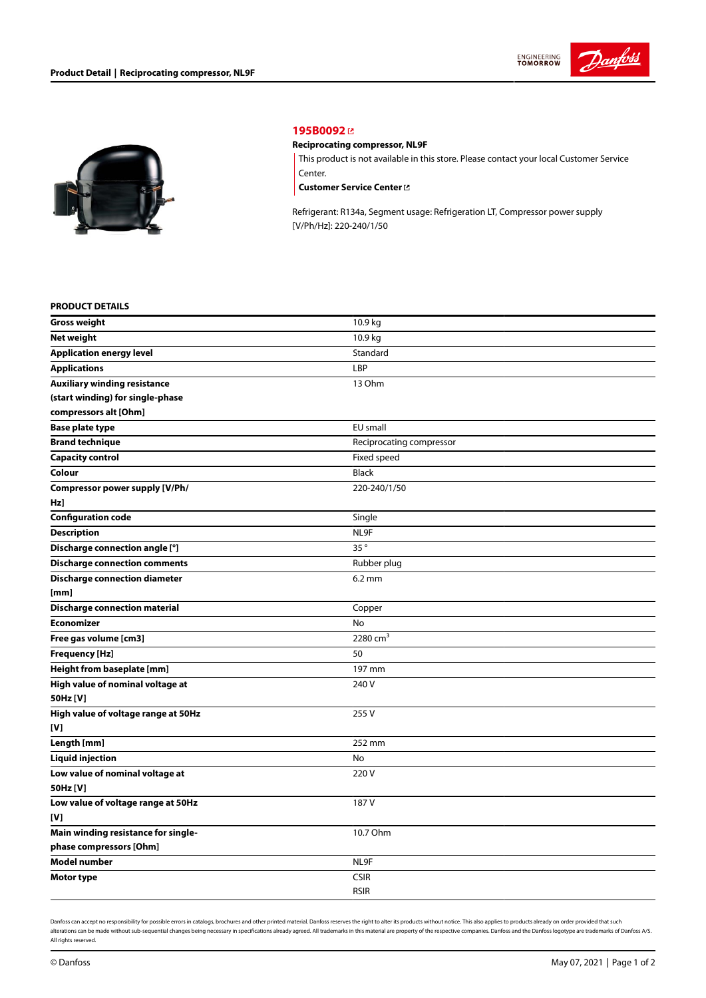



## **[195B0092](https://store.danfoss.com/en/Climate-Solutions-for-cooling/Compressors/Compressors-for-Refrigeration/Danfoss-Light-Commercial-Refrigeration-Compressors/Reciprocating-compressor%2C-NL9F/p/195B0092)**

## **Reciprocating compressor, NL9F**

This product is not available in this store. Please contact your local Customer Service Center.

**[Customer](https://store.danfoss.com/en/customer-service) Service Center**

Refrigerant: R134a, Segment usage: Refrigeration LT, Compressor power supply [V/Ph/Hz]: 220-240/1/50

## **PRODUCT DETAILS**

| <b>Gross weight</b>                  | 10.9 kg                  |  |
|--------------------------------------|--------------------------|--|
| Net weight                           | 10.9 kg                  |  |
| <b>Application energy level</b>      | Standard                 |  |
| <b>Applications</b>                  | LBP                      |  |
| <b>Auxiliary winding resistance</b>  | 13 Ohm                   |  |
| (start winding) for single-phase     |                          |  |
| compressors alt [Ohm]                |                          |  |
| <b>Base plate type</b>               | EU small                 |  |
| <b>Brand technique</b>               | Reciprocating compressor |  |
| <b>Capacity control</b>              | Fixed speed              |  |
| Colour                               | Black                    |  |
| Compressor power supply [V/Ph/       | 220-240/1/50             |  |
| Hz)                                  |                          |  |
| <b>Configuration code</b>            | Single                   |  |
| <b>Description</b>                   | NL9F                     |  |
| Discharge connection angle [°]       | 35°                      |  |
| <b>Discharge connection comments</b> | Rubber plug              |  |
| <b>Discharge connection diameter</b> | $6.2 \text{ mm}$         |  |
| [mm]                                 |                          |  |
| <b>Discharge connection material</b> | Copper                   |  |
| <b>Economizer</b>                    | No                       |  |
| Free gas volume [cm3]                | 2280 $cm3$               |  |
| <b>Frequency [Hz]</b>                | 50                       |  |
| Height from baseplate [mm]           | 197 mm                   |  |
| High value of nominal voltage at     | 240 V                    |  |
| 50Hz [V]                             |                          |  |
| High value of voltage range at 50Hz  | 255 V                    |  |
| [V]                                  |                          |  |
| Length [mm]                          | 252 mm                   |  |
| <b>Liquid injection</b>              | No                       |  |
| Low value of nominal voltage at      | 220V                     |  |
| 50Hz [V]                             |                          |  |
| Low value of voltage range at 50Hz   | 187 V                    |  |
| [V]                                  |                          |  |
| Main winding resistance for single-  | 10.7 Ohm                 |  |
| phase compressors [Ohm]              |                          |  |
| Model number                         | NL9F                     |  |
| <b>Motor type</b>                    | <b>CSIR</b>              |  |
|                                      | <b>RSIR</b>              |  |

Danfoss can accept no responsibility for possible errors in catalogs, brochures and other printed material. Danfoss reserves the right to alter its products without notice. This also applies to products already on order pr alterations can be made without sub-sequential changes being necessary in specifications already agreed. All trademarks in this material are property of the respective companies. Danfoss and the Danfoss logotype are tradem All rights reserved.